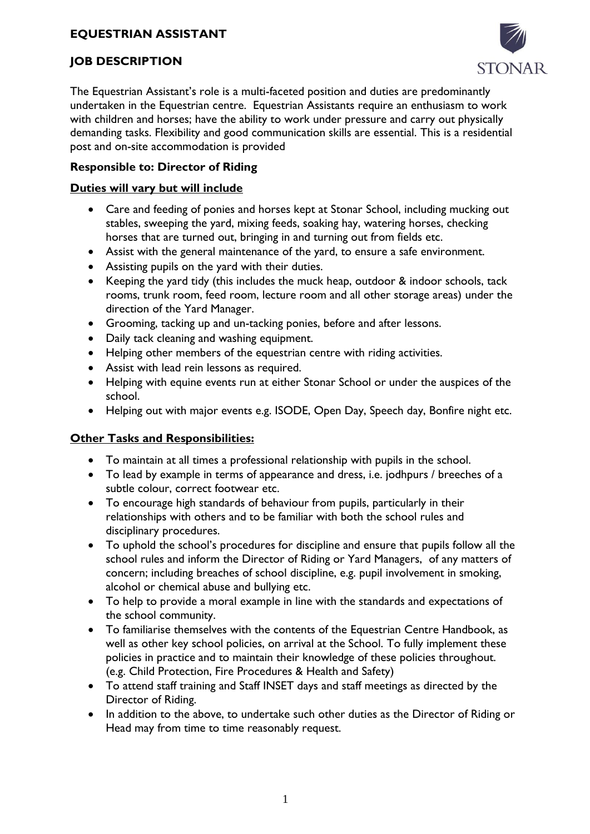# **EQUESTRIAN ASSISTANT**



### **JOB DESCRIPTION**

The Equestrian Assistant's role is a multi-faceted position and duties are predominantly undertaken in the Equestrian centre. Equestrian Assistants require an enthusiasm to work with children and horses; have the ability to work under pressure and carry out physically demanding tasks. Flexibility and good communication skills are essential. This is a residential post and on-site accommodation is provided

#### **Responsible to: Director of Riding**

#### **Duties will vary but will include**

- Care and feeding of ponies and horses kept at Stonar School, including mucking out stables, sweeping the yard, mixing feeds, soaking hay, watering horses, checking horses that are turned out, bringing in and turning out from fields etc.
- Assist with the general maintenance of the yard, to ensure a safe environment.
- Assisting pupils on the yard with their duties.
- Keeping the yard tidy (this includes the muck heap, outdoor & indoor schools, tack rooms, trunk room, feed room, lecture room and all other storage areas) under the direction of the Yard Manager.
- Grooming, tacking up and un-tacking ponies, before and after lessons.
- Daily tack cleaning and washing equipment.
- Helping other members of the equestrian centre with riding activities.
- Assist with lead rein lessons as required.
- Helping with equine events run at either Stonar School or under the auspices of the school.
- Helping out with major events e.g. ISODE, Open Day, Speech day, Bonfire night etc.

## **Other Tasks and Responsibilities:**

- To maintain at all times a professional relationship with pupils in the school.
- To lead by example in terms of appearance and dress, i.e. jodhpurs / breeches of a subtle colour, correct footwear etc.
- To encourage high standards of behaviour from pupils, particularly in their relationships with others and to be familiar with both the school rules and disciplinary procedures.
- To uphold the school's procedures for discipline and ensure that pupils follow all the school rules and inform the Director of Riding or Yard Managers, of any matters of concern; including breaches of school discipline, e.g. pupil involvement in smoking, alcohol or chemical abuse and bullying etc.
- To help to provide a moral example in line with the standards and expectations of the school community.
- To familiarise themselves with the contents of the Equestrian Centre Handbook, as well as other key school policies, on arrival at the School. To fully implement these policies in practice and to maintain their knowledge of these policies throughout. (e.g. Child Protection, Fire Procedures & Health and Safety)
- To attend staff training and Staff INSET days and staff meetings as directed by the Director of Riding.
- In addition to the above, to undertake such other duties as the Director of Riding or Head may from time to time reasonably request.